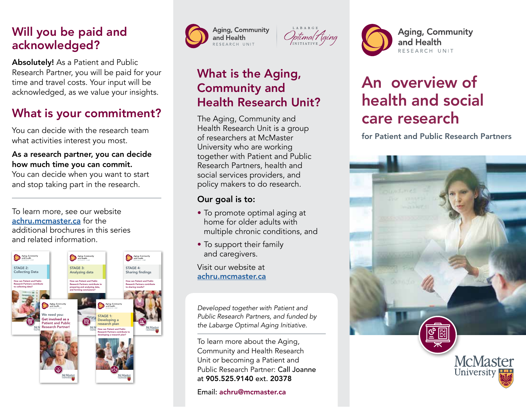### Will you be paid and acknowledged?

Absolutely! As a Patient and Public Research Partner, you will be paid for your time and travel costs. Your input will be acknowledged, as we value your insights.

## What is your commitment?

You can decide with the research team what activities interest you most.

#### As a research partner, you can decide how much time you can commit.

You can decide when you want to start and stop taking part in the research.

To learn more, see our website [achru.mcmaster.ca](https://achru.mcmaster.ca) for the additional brochures in this series and related information.







### What is the Aging, Community and Health Research Unit?

The Aging, Community and Health Research Unit is a group of researchers at McMaster University who are working together with Patient and Public Research Partners, health and social services providers, and policy makers to do research.

#### Our goal is to:

- To promote optimal aging at home for older adults with multiple chronic conditions, and
- To support their family and caregivers.

Visit our website at [achru.mcmaster.ca](https://achru.mcmaster.ca)

*Developed together with Patient and Public Research Partners, and funded by the Labarge Optimal Aging Initiative.*

To learn more about the Aging, Community and Health Research Unit or becoming a Patient and Public Research Partner: Call Joanne at 905.525.9140 ext. 20378

Email: achru@mcmaster.ca

# An overview of health and social care research

and Health

RESEARCH UNIT

for Patient and Public Research Partners

**Aging, Community**